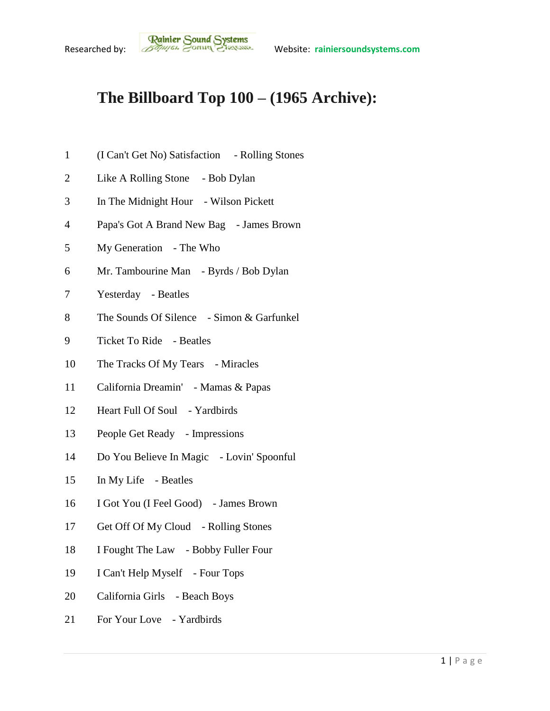## **The Billboard Top 100 – (1965 Archive):**

- (I Can't Get No) Satisfaction Rolling Stones
- Like A Rolling Stone Bob Dylan
- In The Midnight Hour Wilson Pickett
- Papa's Got A Brand New Bag James Brown
- My Generation The Who
- Mr. Tambourine Man Byrds / Bob Dylan
- Yesterday Beatles
- The Sounds Of Silence Simon & Garfunkel
- Ticket To Ride Beatles
- 10 The Tracks Of My Tears Miracles
- California Dreamin' Mamas & Papas
- Heart Full Of Soul Yardbirds
- People Get Ready Impressions
- Do You Believe In Magic Lovin' Spoonful
- In My Life Beatles
- I Got You (I Feel Good) James Brown
- Get Off Of My Cloud Rolling Stones
- I Fought The Law Bobby Fuller Four
- I Can't Help Myself Four Tops
- California Girls Beach Boys
- For Your Love Yardbirds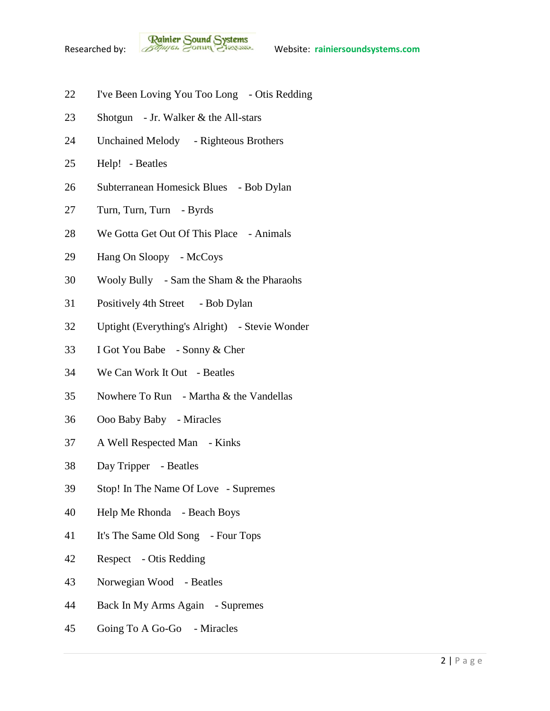

- I've Been Loving You Too Long Otis Redding
- Shotgun Jr. Walker & the All-stars
- Unchained Melody Righteous Brothers
- Help! Beatles
- Subterranean Homesick Blues Bob Dylan
- Turn, Turn, Turn Byrds
- 28 We Gotta Get Out Of This Place Animals
- Hang On Sloopy McCoys
- Wooly Bully Sam the Sham & the Pharaohs
- Positively 4th Street Bob Dylan
- Uptight (Everything's Alright) Stevie Wonder
- I Got You Babe Sonny & Cher
- We Can Work It Out Beatles
- Nowhere To Run Martha & the Vandellas
- Ooo Baby Baby Miracles
- A Well Respected Man Kinks
- Day Tripper Beatles
- Stop! In The Name Of Love Supremes
- Help Me Rhonda Beach Boys
- It's The Same Old Song Four Tops
- Respect Otis Redding
- Norwegian Wood Beatles
- Back In My Arms Again Supremes
- Going To A Go-Go Miracles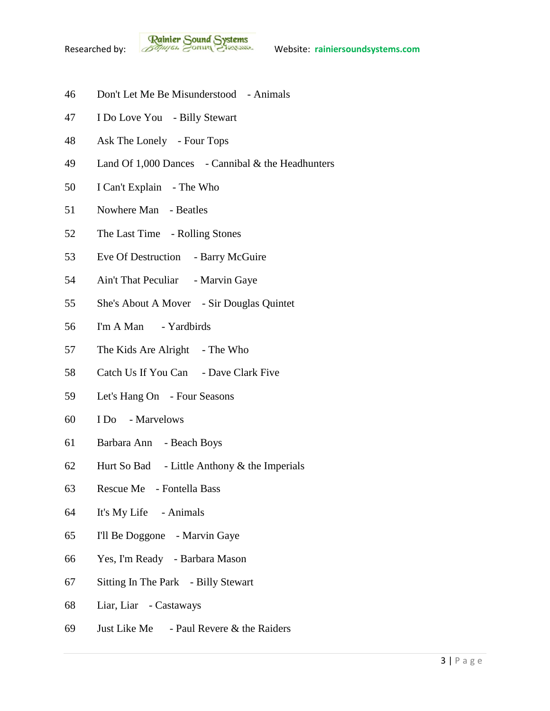

- Don't Let Me Be Misunderstood Animals
- I Do Love You Billy Stewart
- Ask The Lonely Four Tops
- Land Of 1,000 Dances Cannibal & the Headhunters
- I Can't Explain The Who
- Nowhere Man Beatles
- The Last Time Rolling Stones
- Eve Of Destruction Barry McGuire
- 54 Ain't That Peculiar Marvin Gaye
- She's About A Mover Sir Douglas Quintet
- I'm A Man Yardbirds
- 57 The Kids Are Alright The Who
- Catch Us If You Can Dave Clark Five
- Let's Hang On Four Seasons
- I Do Marvelows
- Barbara Ann Beach Boys
- Hurt So Bad Little Anthony & the Imperials
- Rescue Me Fontella Bass
- It's My Life Animals
- I'll Be Doggone Marvin Gaye
- Yes, I'm Ready Barbara Mason
- Sitting In The Park Billy Stewart
- Liar, Liar Castaways
- Just Like Me Paul Revere & the Raiders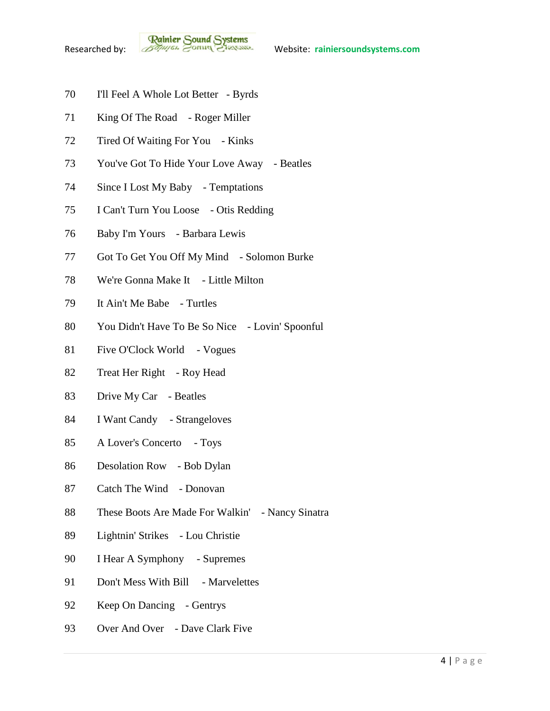

- I'll Feel A Whole Lot Better Byrds
- 71 King Of The Road Roger Miller
- Tired Of Waiting For You Kinks
- You've Got To Hide Your Love Away Beatles
- Since I Lost My Baby Temptations
- I Can't Turn You Loose Otis Redding
- Baby I'm Yours Barbara Lewis
- Got To Get You Off My Mind Solomon Burke
- 78 We're Gonna Make It Little Milton
- It Ain't Me Babe Turtles
- You Didn't Have To Be So Nice Lovin' Spoonful
- 81 Five O'Clock World Vogues
- 82 Treat Her Right Roy Head
- Drive My Car Beatles
- I Want Candy Strangeloves
- A Lover's Concerto Toys
- Desolation Row Bob Dylan
- Catch The Wind Donovan
- 88 These Boots Are Made For Walkin' Nancy Sinatra
- Lightnin' Strikes Lou Christie
- I Hear A Symphony Supremes
- 91 Don't Mess With Bill Marvelettes
- 92 Keep On Dancing Gentrys
- 93 Over And Over Dave Clark Five